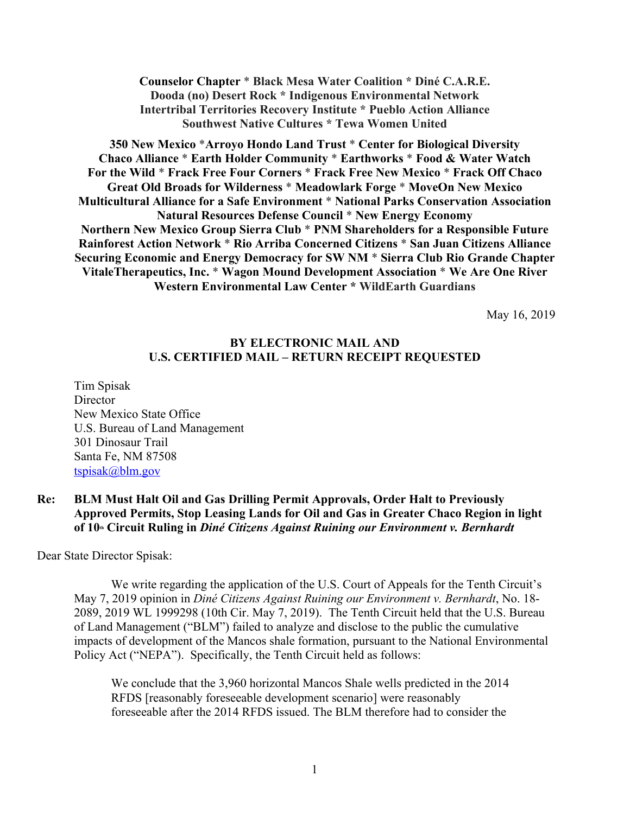# **Counselor Chapter** \* **Black Mesa Water Coalition \* Diné C.A.R.E. Dooda (no) Desert Rock \* Indigenous Environmental Network Intertribal Territories Recovery Institute \* Pueblo Action Alliance Southwest Native Cultures \* Tewa Women United**

**350 New Mexico** \***Arroyo Hondo Land Trust** \* **Center for Biological Diversity Chaco Alliance** \* **Earth Holder Community** \* **Earthworks** \* **Food & Water Watch For the Wild** \* **Frack Free Four Corners** \* **Frack Free New Mexico** \* **Frack Off Chaco Great Old Broads for Wilderness** \* **Meadowlark Forge** \* **MoveOn New Mexico Multicultural Alliance for a Safe Environment** \* **National Parks Conservation Association Natural Resources Defense Council** \* **New Energy Economy Northern New Mexico Group Sierra Club** \* **PNM Shareholders for a Responsible Future Rainforest Action Network** \* **Rio Arriba Concerned Citizens** \* **San Juan Citizens Alliance Securing Economic and Energy Democracy for SW NM** \* **Sierra Club Rio Grande Chapter VitaleTherapeutics, Inc.** \* **Wagon Mound Development Association** \* **We Are One River Western Environmental Law Center \* WildEarth Guardians** 

May 16, 2019

# **BY ELECTRONIC MAIL AND U.S. CERTIFIED MAIL – RETURN RECEIPT REQUESTED**

Tim Spisak **Director** New Mexico State Office U.S. Bureau of Land Management 301 Dinosaur Trail Santa Fe, NM 87508 tspisak@blm.gov

# **Re: BLM Must Halt Oil and Gas Drilling Permit Approvals, Order Halt to Previously Approved Permits, Stop Leasing Lands for Oil and Gas in Greater Chaco Region in light of 10<sup>th</sup> Circuit Ruling in** *Diné Citizens Against Ruining our Environment v. Bernhardt*

Dear State Director Spisak:

We write regarding the application of the U.S. Court of Appeals for the Tenth Circuit's May 7, 2019 opinion in *Diné Citizens Against Ruining our Environment v. Bernhardt*, No. 18- 2089, 2019 WL 1999298 (10th Cir. May 7, 2019). The Tenth Circuit held that the U.S. Bureau of Land Management ("BLM") failed to analyze and disclose to the public the cumulative impacts of development of the Mancos shale formation, pursuant to the National Environmental Policy Act ("NEPA"). Specifically, the Tenth Circuit held as follows:

We conclude that the 3,960 horizontal Mancos Shale wells predicted in the 2014 RFDS [reasonably foreseeable development scenario] were reasonably foreseeable after the 2014 RFDS issued. The BLM therefore had to consider the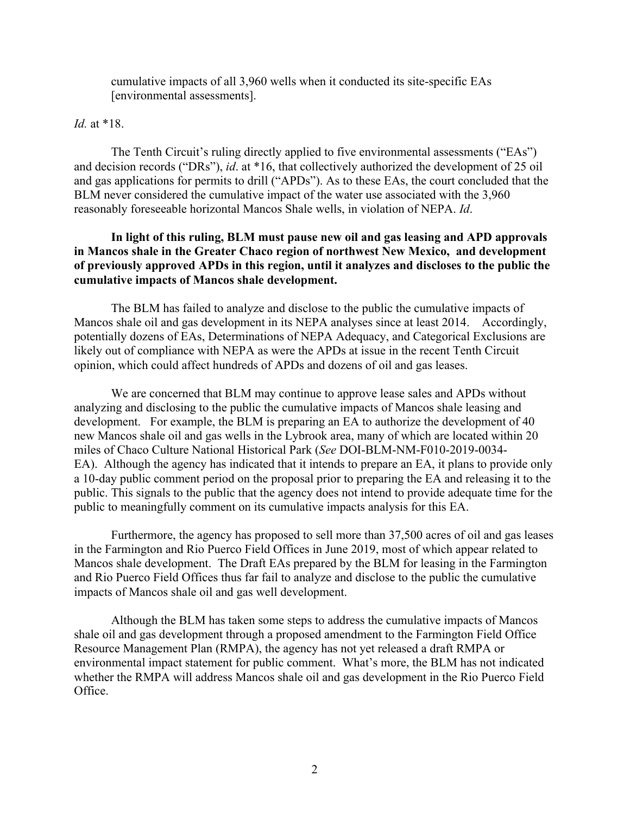cumulative impacts of all 3,960 wells when it conducted its site-specific EAs [environmental assessments].

## *Id.* at \*18.

The Tenth Circuit's ruling directly applied to five environmental assessments ("EAs") and decision records ("DRs"), *id*. at \*16, that collectively authorized the development of 25 oil and gas applications for permits to drill ("APDs"). As to these EAs, the court concluded that the BLM never considered the cumulative impact of the water use associated with the 3,960 reasonably foreseeable horizontal Mancos Shale wells, in violation of NEPA. *Id*.

# **In light of this ruling, BLM must pause new oil and gas leasing and APD approvals in Mancos shale in the Greater Chaco region of northwest New Mexico, and development of previously approved APDs in this region, until it analyzes and discloses to the public the cumulative impacts of Mancos shale development.**

The BLM has failed to analyze and disclose to the public the cumulative impacts of Mancos shale oil and gas development in its NEPA analyses since at least 2014. Accordingly, potentially dozens of EAs, Determinations of NEPA Adequacy, and Categorical Exclusions are likely out of compliance with NEPA as were the APDs at issue in the recent Tenth Circuit opinion, which could affect hundreds of APDs and dozens of oil and gas leases.

We are concerned that BLM may continue to approve lease sales and APDs without analyzing and disclosing to the public the cumulative impacts of Mancos shale leasing and development. For example, the BLM is preparing an EA to authorize the development of 40 new Mancos shale oil and gas wells in the Lybrook area, many of which are located within 20 miles of Chaco Culture National Historical Park (*See* DOI-BLM-NM-F010-2019-0034- EA). Although the agency has indicated that it intends to prepare an EA, it plans to provide only a 10-day public comment period on the proposal prior to preparing the EA and releasing it to the public. This signals to the public that the agency does not intend to provide adequate time for the public to meaningfully comment on its cumulative impacts analysis for this EA.

Furthermore, the agency has proposed to sell more than 37,500 acres of oil and gas leases in the Farmington and Rio Puerco Field Offices in June 2019, most of which appear related to Mancos shale development. The Draft EAs prepared by the BLM for leasing in the Farmington and Rio Puerco Field Offices thus far fail to analyze and disclose to the public the cumulative impacts of Mancos shale oil and gas well development.

Although the BLM has taken some steps to address the cumulative impacts of Mancos shale oil and gas development through a proposed amendment to the Farmington Field Office Resource Management Plan (RMPA), the agency has not yet released a draft RMPA or environmental impact statement for public comment. What's more, the BLM has not indicated whether the RMPA will address Mancos shale oil and gas development in the Rio Puerco Field Office.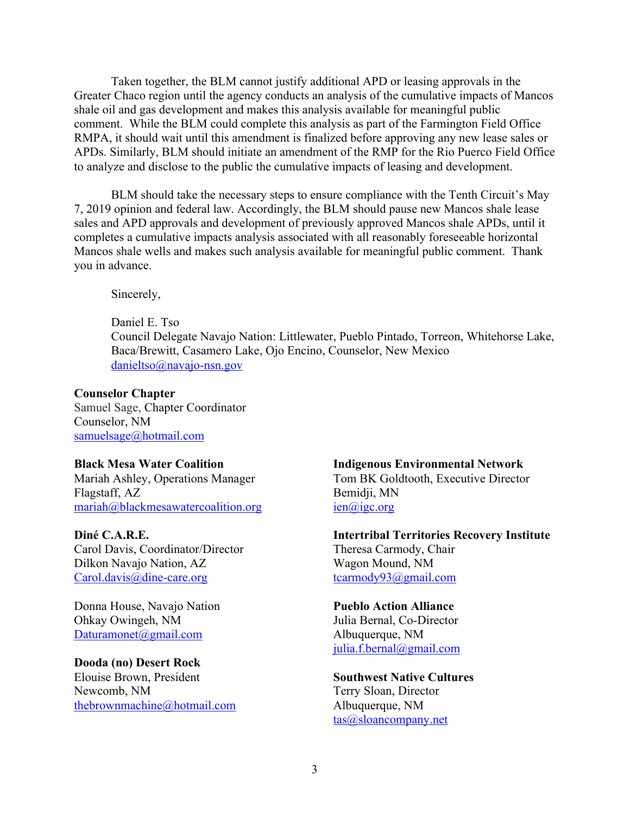Taken together, the BLM cannot justify additional APD or leasing approvals in the Greater Chaco region until the agency conducts an analysis of the cumulative impacts of Mancos shale oil and gas development and makes this analysis available for meaningful public comment. While the BLM could complete this analysis as part of the Farmington Field Office RMPA, it should wait until this amendment is finalized before approving any new lease sales or APDs. Similarly, BLM should initiate an amendment of the RMP for the Rio Puerco Field Office to analyze and disclose to the public the cumulative impacts of leasing and development.

BLM should take the necessary steps to ensure compliance with the Tenth Circuit's May 7, 2019 opinion and federal law. Accordingly, the BLM should pause new Mancos shale lease sales and APD approvals and development of previously approved Mancos shale APDs, until it completes a cumulative impacts analysis associated with all reasonably foreseeable horizontal Mancos shale wells and makes such analysis available for meaningful public comment. Thank you in advance.

Sincerely,

Daniel E. Tso Council Delegate Navajo Nation: Littlewater, Pueblo Pintado, Torreon, Whitehorse Lake, Baca/Brewitt, Casamero Lake, Ojo Encino, Counselor, New Mexico danieltso@navajo-nsn.gov

### **Counselor Chapter**

Samuel Sage, Chapter Coordinator Counselor, NM samuelsage@hotmail.com

# **Black Mesa Water Coalition**

Mariah Ashley, Operations Manager Flagstaff, AZ mariah@blackmesawatercoalition.org

#### **Diné C.A.R.E.**

Carol Davis, Coordinator/Director Dilkon Navajo Nation, AZ Carol.davis@dine-care.org

Donna House, Navajo Nation Ohkay Owingeh, NM Daturamonet@gmail.com

# **Dooda (no) Desert Rock**

Elouise Brown, President Newcomb, NM thebrownmachine@hotmail.com

# **Indigenous Environmental Network**

Tom BK Goldtooth, Executive Director Bemidji, MN ien@igc.org

**Intertribal Territories Recovery Institute** Theresa Carmody, Chair Wagon Mound, NM tcarmody93@gmail.com

#### **Pueblo Action Alliance**

Julia Bernal, Co-Director Albuquerque, NM julia.f.bernal@gmail.com

# **Southwest Native Cultures**

Terry Sloan, Director Albuquerque, NM tas@sloancompany.net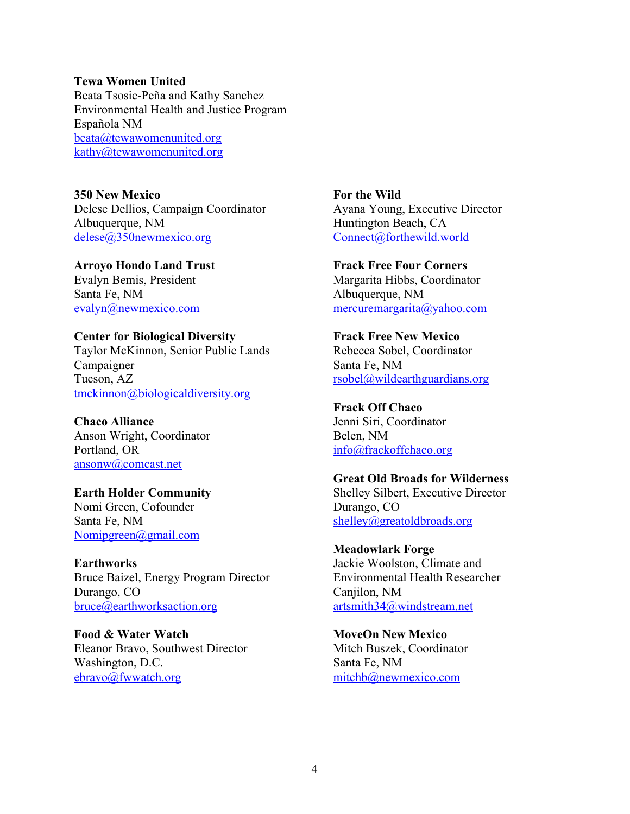#### **Tewa Women United**

Beata Tsosie-Peña and Kathy Sanchez Environmental Health and Justice Program Española NM beata@tewawomenunited.org kathy@tewawomenunited.org

**350 New Mexico** Delese Dellios, Campaign Coordinator Albuquerque, NM delese@350newmexico.org

**Arroyo Hondo Land Trust**  Evalyn Bemis, President Santa Fe, NM evalyn@newmexico.com

**Center for Biological Diversity** Taylor McKinnon, Senior Public Lands Campaigner

Tucson, AZ tmckinnon@biologicaldiversity.org

**Chaco Alliance**  Anson Wright, Coordinator Portland, OR ansonw@comcast.net

**Earth Holder Community**  Nomi Green, Cofounder Santa Fe, NM Nomipgreen@gmail.com

**Earthworks** Bruce Baizel, Energy Program Director Durango, CO bruce@earthworksaction.org

**Food & Water Watch**  Eleanor Bravo, Southwest Director Washington, D.C. ebravo@fwwatch.org

**For the Wild** Ayana Young, Executive Director Huntington Beach, CA Connect@forthewild.world

**Frack Free Four Corners** Margarita Hibbs, Coordinator Albuquerque, NM mercuremargarita@yahoo.com

**Frack Free New Mexico**  Rebecca Sobel, Coordinator Santa Fe, NM rsobel@wildearthguardians.org

**Frack Off Chaco** Jenni Siri, Coordinator Belen, NM info@frackoffchaco.org

**Great Old Broads for Wilderness**  Shelley Silbert, Executive Director Durango, CO shelley@greatoldbroads.org

**Meadowlark Forge** Jackie Woolston, Climate and Environmental Health Researcher Canjilon, NM artsmith34@windstream.net

**MoveOn New Mexico** Mitch Buszek, Coordinator Santa Fe, NM mitchb@newmexico.com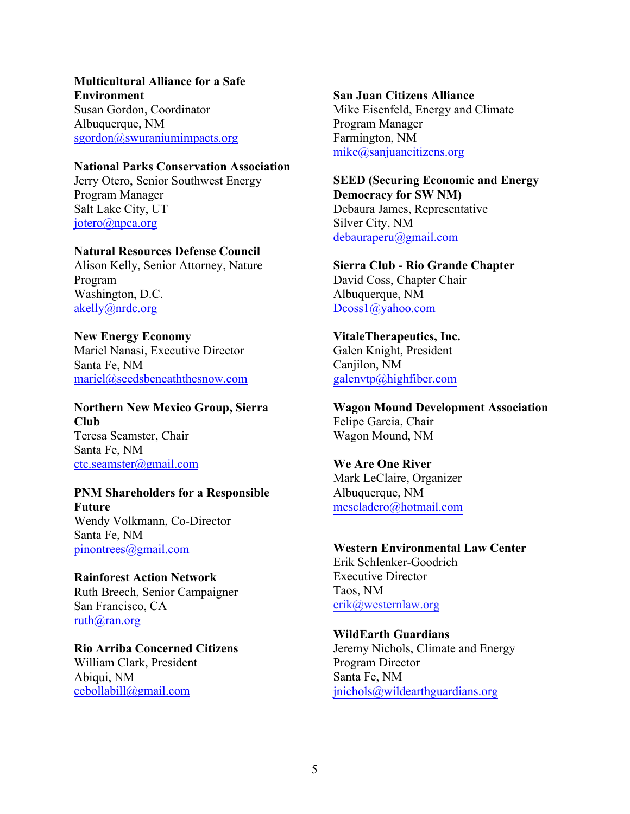#### **Multicultural Alliance for a Safe Environment**

Susan Gordon, Coordinator Albuquerque, NM sgordon@swuraniumimpacts.org

### **National Parks Conservation Association**

Jerry Otero, Senior Southwest Energy Program Manager Salt Lake City, UT jotero@npca.org

### **Natural Resources Defense Council**

Alison Kelly, Senior Attorney, Nature Program Washington, D.C. akelly@nrdc.org

#### **New Energy Economy**  Mariel Nanasi, Executive Director

Santa Fe, NM mariel@seedsbeneaththesnow.com

# **Northern New Mexico Group, Sierra Club**  Teresa Seamster, Chair Santa Fe, NM ctc.seamster@gmail.com

#### **PNM Shareholders for a Responsible Future**

Wendy Volkmann, Co-Director Santa Fe, NM pinontrees@gmail.com

# **Rainforest Action Network**  Ruth Breech, Senior Campaigner San Francisco, CA ruth@ran.org

**Rio Arriba Concerned Citizens**  William Clark, President Abiqui, NM cebollabill@gmail.com

### **San Juan Citizens Alliance**

Mike Eisenfeld, Energy and Climate Program Manager Farmington, NM mike@sanjuancitizens.org

# **SEED (Securing Economic and Energy**

**Democracy for SW NM)**  Debaura James, Representative Silver City, NM debauraperu@gmail.com

#### **Sierra Club - Rio Grande Chapter**

David Coss, Chapter Chair Albuquerque, NM Dcoss1@yahoo.com

## **VitaleTherapeutics, Inc.**

Galen Knight, President Canjilon, NM galenvtp@highfiber.com

# **Wagon Mound Development Association**  Felipe Garcia, Chair Wagon Mound, NM

### **We Are One River**

Mark LeClaire, Organizer Albuquerque, NM mescladero@hotmail.com

#### **Western Environmental Law Center**

Erik Schlenker-Goodrich Executive Director Taos, NM erik@westernlaw.org

### **WildEarth Guardians**

Jeremy Nichols, Climate and Energy Program Director Santa Fe, NM jnichols@wildearthguardians.org